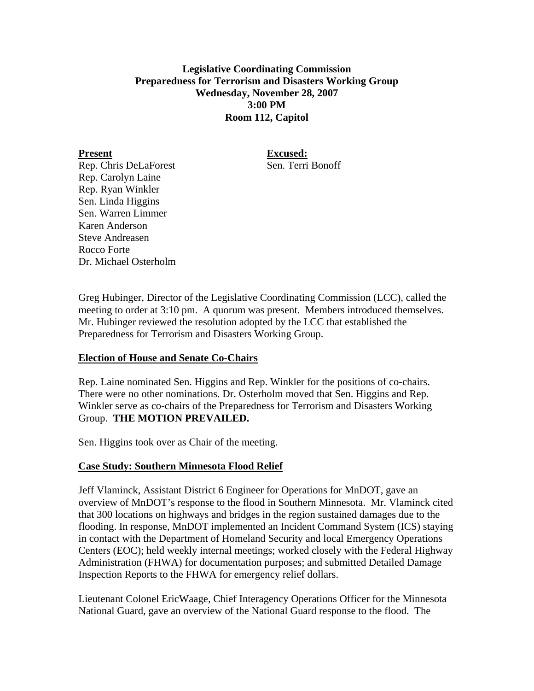# **Legislative Coordinating Commission Preparedness for Terrorism and Disasters Working Group Wednesday, November 28, 2007 3:00 PM Room 112, Capitol**

Present Excused:

Rep. Chris DeLaForest Sen. Terri Bonoff Rep. Carolyn Laine Rep. Ryan Winkler Sen. Linda Higgins Sen. Warren Limmer Karen Anderson Steve Andreasen Rocco Forte Dr. Michael Osterholm

Greg Hubinger, Director of the Legislative Coordinating Commission (LCC), called the meeting to order at 3:10 pm. A quorum was present. Members introduced themselves. Mr. Hubinger reviewed the resolution adopted by the LCC that established the Preparedness for Terrorism and Disasters Working Group.

## **Election of House and Senate Co-Chairs**

Rep. Laine nominated Sen. Higgins and Rep. Winkler for the positions of co-chairs. There were no other nominations. Dr. Osterholm moved that Sen. Higgins and Rep. Winkler serve as co-chairs of the Preparedness for Terrorism and Disasters Working Group. **THE MOTION PREVAILED.** 

Sen. Higgins took over as Chair of the meeting.

## **Case Study: Southern Minnesota Flood Relief**

Jeff Vlaminck, Assistant District 6 Engineer for Operations for MnDOT, gave an overview of MnDOT's response to the flood in Southern Minnesota. Mr. Vlaminck cited that 300 locations on highways and bridges in the region sustained damages due to the flooding. In response, MnDOT implemented an Incident Command System (ICS) staying in contact with the Department of Homeland Security and local Emergency Operations Centers (EOC); held weekly internal meetings; worked closely with the Federal Highway Administration (FHWA) for documentation purposes; and submitted Detailed Damage Inspection Reports to the FHWA for emergency relief dollars.

Lieutenant Colonel EricWaage, Chief Interagency Operations Officer for the Minnesota National Guard, gave an overview of the National Guard response to the flood. The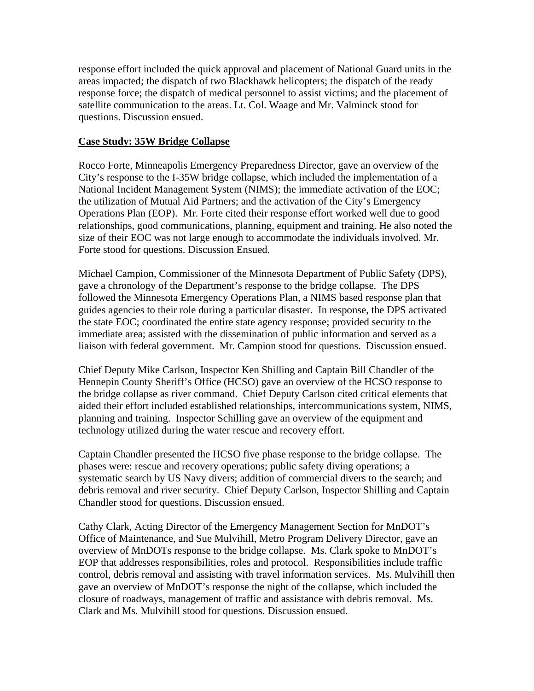response effort included the quick approval and placement of National Guard units in the areas impacted; the dispatch of two Blackhawk helicopters; the dispatch of the ready response force; the dispatch of medical personnel to assist victims; and the placement of satellite communication to the areas. Lt. Col. Waage and Mr. Valminck stood for questions. Discussion ensued.

#### **Case Study: 35W Bridge Collapse**

Rocco Forte, Minneapolis Emergency Preparedness Director, gave an overview of the City's response to the I-35W bridge collapse, which included the implementation of a National Incident Management System (NIMS); the immediate activation of the EOC; the utilization of Mutual Aid Partners; and the activation of the City's Emergency Operations Plan (EOP). Mr. Forte cited their response effort worked well due to good relationships, good communications, planning, equipment and training. He also noted the size of their EOC was not large enough to accommodate the individuals involved. Mr. Forte stood for questions. Discussion Ensued.

Michael Campion, Commissioner of the Minnesota Department of Public Safety (DPS), gave a chronology of the Department's response to the bridge collapse. The DPS followed the Minnesota Emergency Operations Plan, a NIMS based response plan that guides agencies to their role during a particular disaster. In response, the DPS activated the state EOC; coordinated the entire state agency response; provided security to the immediate area; assisted with the dissemination of public information and served as a liaison with federal government. Mr. Campion stood for questions. Discussion ensued.

Chief Deputy Mike Carlson, Inspector Ken Shilling and Captain Bill Chandler of the Hennepin County Sheriff's Office (HCSO) gave an overview of the HCSO response to the bridge collapse as river command. Chief Deputy Carlson cited critical elements that aided their effort included established relationships, intercommunications system, NIMS, planning and training. Inspector Schilling gave an overview of the equipment and technology utilized during the water rescue and recovery effort.

Captain Chandler presented the HCSO five phase response to the bridge collapse. The phases were: rescue and recovery operations; public safety diving operations; a systematic search by US Navy divers; addition of commercial divers to the search; and debris removal and river security. Chief Deputy Carlson, Inspector Shilling and Captain Chandler stood for questions. Discussion ensued.

Cathy Clark, Acting Director of the Emergency Management Section for MnDOT's Office of Maintenance, and Sue Mulvihill, Metro Program Delivery Director, gave an overview of MnDOTs response to the bridge collapse. Ms. Clark spoke to MnDOT's EOP that addresses responsibilities, roles and protocol. Responsibilities include traffic control, debris removal and assisting with travel information services. Ms. Mulvihill then gave an overview of MnDOT's response the night of the collapse, which included the closure of roadways, management of traffic and assistance with debris removal. Ms. Clark and Ms. Mulvihill stood for questions. Discussion ensued.